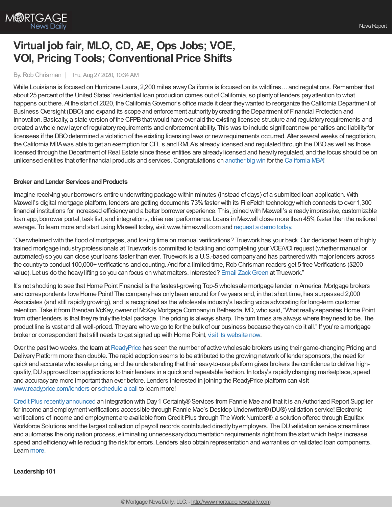

# **Virtual job fair, MLO, CD, AE, Ops Jobs; VOE, VOI, Pricing Tools; Conventional Price Shifts**

## By: Rob Chrisman | Thu, Aug 27 2020, 10:34 AM

While Louisiana is focused on Hurricane Laura, 2,200 miles away California is focused on its wildfires... and regulations. Remember that about 25 percent of the United States' residential loan production comes out of California, so plenty of lenders pay attention to what happens out there. At the start of 2020, the California Governor's office made it clear they wanted to reorganize the California Department of Business Oversight (DBO) and expand its scope and enforcement authoritybycreating the Department of Financial Protection and Innovation. Basically, a state version of the CFPB that would have overlaid the existing licensee structure and regulatory requirements and created a whole newlayer of regulatoryrequirements and enforcement ability. This was to include significant newpenalties and liabilityfor licensees if the DBO determined a violation of the existing licensing laws or new requirements occurred. After several weeks of negotiation, the California MBA was able to get an exemption for CFL's and RMLA's already licensed and regulated through the DBO as well as those licensed through the Department of Real Estate since these entities are alreadylicensed and heavily regulated, and the focus should be on unlicensed entities that offer financial products and services.Congratulations on [another](https://youtu.be/YJ3kvO-sQlY) big win for the [California](https://cmba.com/) MBA!

## **Broker** and Lender Services and Products

Imagine receiving your borrower's entire underwriting package within minutes (instead of days) of a submitted loan application. With Maxwell's digital mortgage platform, lenders are getting documents 73%faster with its FileFetch technologywhich connects to over 1,300 financial institutions for increased efficiencyand a better borrower experience. This, joined with Maxwell's alreadyimpressive, customizable loan app, borrower portal, task list, and integrations, drive real performance. Loans in Maxwell close more than 45% faster than the national average. To learn more and start using Maxwell today, visitwww.himaxwell.com and [request](https://www.himaxwell.com/request-a-demo?utm_source=RC&utm_campaign=RC_CTA) a demo today.

"Overwhelmed with the flood of mortgages, and losing time on manual verifications? Truework has your back. Our dedicated team of highly trained mortgage industryprofessionals at Truework is committed to tackling and completing your VOE/VOI request (whether manual or automated) so you can close your loans faster than ever. Truework is a U.S.-based companyand has partnered with major lenders across the country to conduct 100,000+ verifications and counting. And for a limited time, Rob Chrisman readers get 5 free Verifications (\$200 value). Let us do the heavylifting so you can focus on what matters. Interested? Email [ZackGreen](https://l.linklyhq.com/l/5uU5) at Truework."

It's not shocking to see that Home Point Financial is the fastest-growing Top-5 wholesale mortgage lender in America. Mortgage brokers and correspondents love Home Point! The companyhas onlybeen around for five years and, in that short time, has surpassed 2,000 Associates (and still rapidlygrowing), and is recognized as the wholesale industry's leading voice advocating for long-term customer retention. Take it from Brendan McKay, owner of McKay Mortgage Company in Bethesda, MD, who said, "What really separates Home Point from other lenders is that they're trulythe total package. The pricing is always sharp. The turn times are always where theyneed to be. The product line is vast and all well-priced. Theyare who we go to for the bulk of our business because theycan do it all." If you're a mortgage broker or correspondent that still needs to get signed up with Home Point, visit its [website](https://tpo.homepointfinancial.com/) now.

Over the past two weeks, the team at [ReadyPrice](https://www.readyprice.com/) has seen the number of active wholesale brokers using their game-changing Pricing and DeliveryPlatform more than double. The rapid adoption seems to be attributed to the growing network of lender sponsors, the need for quick and accurate wholesale pricing, and the understanding that their easy-to-use platform gives brokers the confidence to deliver highquality, DU approved loan applications to their lenders in a quick and repeatable fashion. In today's rapidly changing marketplace, speed and accuracyare more important than ever before. Lenders interested in joining the ReadyPrice platform can visit [www.readyprice.com/lenders](https://www.readyprice.com/lenders) or [schedule](https://meetings.hubspot.com/readyprice/lender-sync) a call to learn more!

Credit Plus [recentlyannounced](https://creditplus.com/knowledge-hub/press-releases/credit-plus-announces-integration-with-day-1-certainty-services-from-fannie-mae/) an integration with Day1 Certainty®Services from Fannie Mae and that it is an Authorized Report Supplier for income and employment verifications accessible through Fannie Mae's Desktop Underwriter®(DU®) validation service! Electronic verifications of income and employment are available from Credit Plus through The WorkNumber®, a solution offered through Equifax Workforce Solutions and the largest collection of payroll records contributed directly by employers. The DU validation service streamlines and automates the origination process, eliminating unnecessarydocumentation requirements right from the startwhich helps increase speed and efficiencywhile reducing the risk for errors. Lenders also obtain representation and warranties on validated loan components. Learn [more](https://creditplus.com/mortgage-lender/services/employment-income-verification/).

## **Leadership101**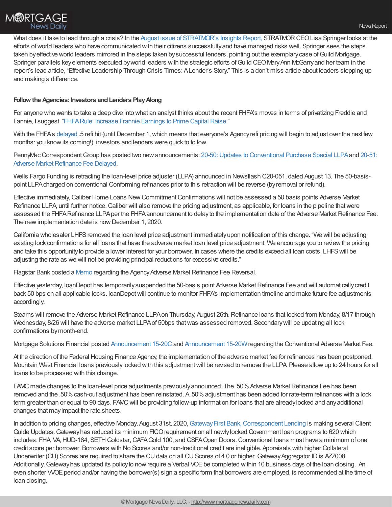

What does it take to lead through a crisis? In the August issue of [STRATMOR's](https://www.stratmorgroup.com/insights/) Insights Report, STRATMOR CEO Lisa Springer looks at the efforts ofworld leaders who have communicated with their citizens successfullyand have managed risks well. Springer sees the steps taken byeffective world leaders mirrored in the steps taken bysuccessful lenders, pointing out the exemplarycase ofGuild Mortgage. Springer parallels key elements executed by world leaders with the strategic efforts of Guild CEO Mary Ann McGarry and her team in the report's lead article, "Effective Leadership Through Crisis Times: ALender's Story." This is a don't-miss article about leaders stepping up and making a difference.

## **Follow the Agencies:Investors andLenders PlayAlong**

For anyone who wants to take a deep dive into what an analyst thinks about the recent FHFA's moves in terms of privatizing Freddie and Fannie, I suggest, ["FHFARule:](https://seekingalpha.com/article/4370969-fhfa-rule-increase-frannie-earnings-to-prime-capital-raise) Increase Frannie Earnings to Prime Capital Raise."

With the FHFA's [delayed](https://www.fhfa.gov/Media/PublicAffairs/Pages/Adverse-Market-Refinance-Fee-Implementation-Now-December-1.aspx) .5 refi hit (until December 1, which means that everyone's Agency refi pricing will begin to adjust over the next few months: you knowits coming!), investors and lenders were quick to follow.

PennyMac Correspondent Group has posted two new announcements: 20-50: Updates to Conventional Purchase Special LLPA and 20-51: Adverse Market Refinance Fee Delayed.

Wells Fargo Funding is retracting the loan-level price adjuster (LLPA) announced in Newsflash C20-051, dated August 13. The 50-basispoint LLPAcharged on conventional Conforming refinances prior to this retraction will be reverse (byremoval or refund).

Effective immediately,Caliber Home Loans NewCommitmentConfirmations will not be assessed a 50 basis points Adverse Market Refinance LLPA, until further notice. Caliber will also remove the pricing adjustment, as applicable, for loans in the pipeline that were assessed the FHFA Refinance LLPA per the FHFA announcement to delay to the implementation date of the Adverse Market Refinance Fee. The new implementation date is now December 1, 2020.

California wholesaler LHFS removed the loan level price adjustment immediately upon notification of this change. "We will be adjusting existing lock confirmations for all loans that have the adverse market loan level price adjustment. We encourage you to review the pricing and take this opportunityto provide a lower interest for your borrower. In cases where the credits exceed all loan costs, LHFSwill be adjusting the rate as we will not be providing principal reductions for excessive credits."

Flagstar Bank posted a [Memo](https://www.flagstar.com/content/dam/tpo/sellers-guide/announcements/20084.pdf) regarding the Agency Adverse Market Refinance Fee Reversal.

Effective yesterday, loanDepot has temporarily suspended the 50-basis point Adverse Market Refinance Fee and will automatically credit back 50 bps on all applicable locks. loanDepotwill continue to monitor FHFA's implementation timeline and make future fee adjustments accordingly.

Stearns will remove the Adverse Market Refinance LLPA on Thursday, August 26th. Refinance loans that locked from Monday, 8/17 through Wednesday, 8/26 will have the adverse market LLPAof 50bps thatwas assessed removed. Secondarywill be updating all lock confirmations bymonth-end.

Mortgage Solutions Financial posted [Announcement](https://files.constantcontact.com/cef2f3ef001/69e19e35-6449-4891-afca-d066098af2da.pdf) 15-20C and Announcement 15-20W regarding the Conventional Adverse Market Fee.

At the direction of the Federal Housing Finance Agency, the implementation of the adverse market fee for refinances has been postponed. Mountain West Financial loans previously locked with this adjustment will be revised to remove the LLPA. Please allow up to 24 hours for all loans to be processed with this change.

FAMC made changes to the loan-level price adjustments previously announced. The .50% Adverse Market Refinance Fee has been removed and the .50% cash-out adjustment has been reinstated. A.50% adjustment has been added for rate-term refinances with a lock term greater than or equal to 90 days. FAMC will be providing follow-up information for loans that are already locked and any additional changes that mayimpact the rate sheets.

In addition to pricing changes, effective Monday, August 31st, 2020, Gateway First Bank, Correspondent Lending is making several Client Guide Updates.Gatewayhas reduced its minimum FICOrequirement on all newlylockedGovernment loan programs to 620 which includes: FHA, VA, HUD-184, SETH Goldstar, CAFA Gold 100, and GSFA Open Doors. Conventional loans must have a minimum of one credit score per borrower. Borrowers with No Scores and/or non-traditional credit are ineligible. Appraisals with higher Collateral Underwriter (CU) Scores are required to share the CU data on all CU Scores of 4.0 or higher. Gateway Aggregator ID is AZZ008. Additionally, Gateway has updated its policy to now require a Verbal VOE be completed within 10 business days of the loan closing. An even shorter VVOE period and/or having the borrower(s) sign a specific form that borrowers are employed, is recommended at the time of loan closing.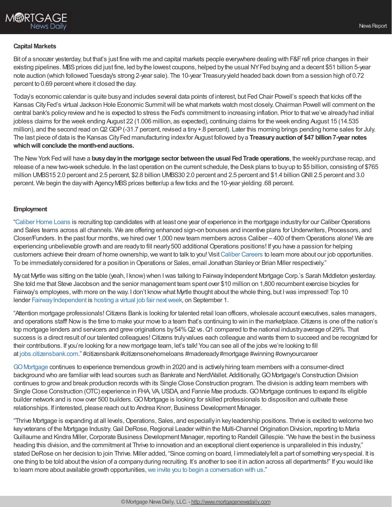

#### **Capital Markets**

Bit of a snoozer yesterday, but that's just fine with me and capital markets people everywhere dealing with F&F refi price changes in their existing pipelines. MBS prices did just fine, led by the lowest coupons, helped by the usual NYFed buying and a decent \$51 billion 5-year note auction (which followed Tuesday's strong 2-year sale). The 10-year Treasuryyield headed back down from a session high of 0.72 percent to 0.69 percentwhere it closed the day.

Today's economic calendar is quite busyand includes several data points of interest, but Fed Chair Powell's speech that kicks off the Kansas City Fed's virtual Jackson Hole Economic Summit will be what markets watch most closely. Chairman Powell will comment on the central bank's policyreviewand he is expected to stress the Fed's commitment to increasing inflation. Prior to thatwe've alreadyhad initial jobless claims for the week ending August 22 (1.006 million, as expected), continuing claims for the week ending August 15 (14.535 million), and the second read on Q2 GDP (-31.7 percent, revised a tiny +.8 percent). Later this morning brings pending home sales for July. The last piece of data is the Kansas CityFed manufacturing indexfor August followed bya **Treasuryauctionof \$47 billion7-year notes whichwill conclude the month-endauctions.**

The NewYork Fed will have a **busydayinthe mortgage sector betweenthe usual FedTrade operations**, the weeklypurchase recap, and release of a newtwo-week schedule. In the last operation on the current schedule, the Desk plans to buyup to \$5 billion, consisting of \$765 million UMBS15 2.0 percent and 2.5 percent, \$2.8 billion UMBS30 2.0 percent and 2.5 percent and \$1.4 billionGNII 2.5 percent and 3.0 percent. We begin the day with Agency MBS prices better/up a few ticks and the 10-year yielding .68 percent.

#### **Employment**

["Caliber](https://recruiting.adp.com/srccar/public/RTI.home?d=ExternalCaliberHomeLoans&_icx=v02Pg0E8dry77as%252F53w4AJaa70NZw%252Fw8fF8hbFO1EF85wLt9DxjYJuzTaiz3cC3bUG0&c=1060341&_dissimuloSSO=k81IQ_xGY14:XQC7YMN_-Mx6DdXOyW3KVTQohAw) Home Loans is recruiting top candidates with at least one year of experience in the mortgage industryfor our CaliberOperations and Sales teams across all channels. We are offering enhanced sign-on bonuses and incentive plans for Underwriters, Processors, and Closer/Funders. In the past four months, we hired over 1,000 new team members across Caliber – 400 of them Operations alone! We are experiencing unbelievable growth and are readyto fill nearly500 additional Operations positions! If you have a passion for helping customers achieve their dream of home ownership, we want to talk to you! Visit Caliber [Careers](https://recruiting.adp.com/srccar/public/RTI.home?d=ExternalCaliberHomeLoans&_icx=v02Pg0E8dry77as%252F53w4AJaa70NZw%252Fw8fF8hbFO1EF85wLt9DxjYJuzTaiz3cC3bUG0&c=1060341&_dissimuloSSO=k81IQ_xGY14:XQC7YMN_-Mx6DdXOyW3KVTQohAw) to learn more about our job opportunities. To be immediately considered for a position in Operations or Sales, email Jonathan Stanley or Brian Miller respectively."

My cat Myrtle was sitting on the table (yeah, I know) when I was talking to Fairway Independent Mortgage Corp.'s Sarah Middleton yesterday. She told me that Steve Jacobson and the senior management team spent over \$10 million on 1,800 recumbent exercise bicycles for Fairway's employees, with more on the way. I don't know what Myrtle thought about the whole thing, but I was impressed! Top 10 lender Fairway Independent is hosting a virtual job fair next week, on September 1.

"Attention mortgage professionals! Citizens Bank is looking for talented retail loan officers, wholesale account executives, sales managers, and operations staff! Now is the time to make your move to a team that's continuing to win in the marketplace. Citizens is one of the nation's top mortgage lenders and servicers and grew originations by 54% Q2 vs. Q1 compared to the national industry average of 29%. That success is a direct result of our talented colleagues!Citizens trulyvalues each colleague and wants them to succeed and be recognized for their contributions. If you're looking for a new mortgage team, let's talk! You can see all of the jobs we're looking to fill at [jobs.citizensbank.com](https://jobs.citizensbank.com/)." #citizensbank #citizensonehomeloans #madeready#mortgage #winning #ownyourcareer

[GOMortgage](https://www.gomortgage.com/) continues to experience tremendous growth in 2020 and is activelyhiring team members with a consumer-direct background who are familiar with lead sources such as Bankrate and NerdWallet. Additionally, GO Mortgage's Construction Division continues to growand break production records with its Single Close Construction program. The division is adding team members with Single Close Construction (OTC) experience in FHA, VA,USDA, and Fannie Mae products.GOMortgage continues to expand its eligible builder network and is nowover 500 builders.GOMortgage is looking for skilled professionals to disposition and cultivate these relationships. If interested, please reach out to Andrea Knorr, Business Development Manager.

"Thrive Mortgage is expanding at all levels, Operations, Sales, and especially in key leadership positions. Thrive is excited to welcome two key veterans of the Mortgage Industry. Gail DeRose, Regional Leader within the Multi-Channel Origination Division, reporting to Marla Guillaume and Kindra Miller,Corporate Business Development Manager, reporting to Randell Gillespie. "We have the best in the business heading this division, and the commitment at Thrive to innovation and an exceptional client experience is unparalleled in this industry," stated DeRose on her decision to join Thrive. Miller added, "Since coming on board, I immediatelyfelt a part of something veryspecial. It is one thing to be told about the vision of a companyduring recruiting. It's another to see it in action across all departments!" If you would like to learn more about available growth opportunities, we invite you to begin a [conversation](https://join.thrivemortgage.com/) with us."